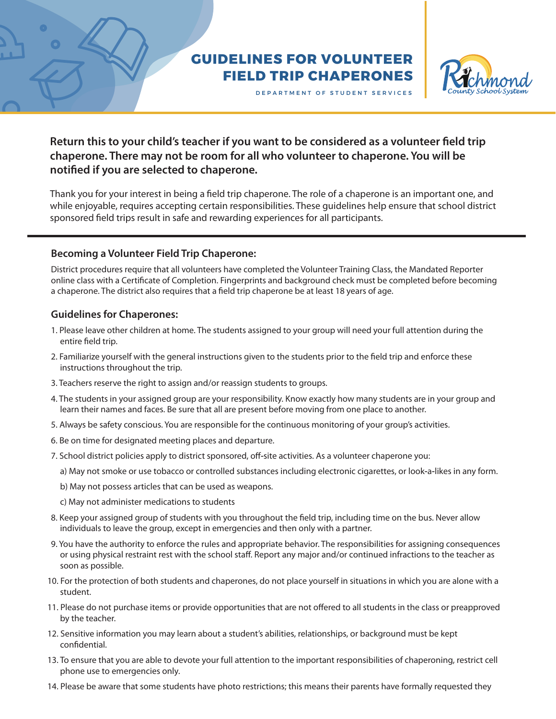## **GUIDELINES FOR VOLUNTEER FIELD TRIP CHAPERONES**



DEPARTMENT OF STUDENT SERVICES

## Return this to your child's teacher if you want to be considered as a volunteer field trip **chaperone. There may not be room for all who volunteer to chaperone. You will be notied if you are selected to chaperone.**

Thank you for your interest in being a field trip chaperone. The role of a chaperone is an important one, and while enjoyable, requires accepting certain responsibilities. These guidelines help ensure that school district sponsored field trips result in safe and rewarding experiences for all participants.

## **Becoming a Volunteer Field Trip Chaperone:**

District procedures require that all volunteers have completed the Volunteer Training Class, the Mandated Reporter online class with a Certificate of Completion. Fingerprints and background check must be completed before becoming a chaperone. The district also requires that a field trip chaperone be at least 18 years of age.

## **Guidelines for Chaperones:**

- 1. Please leave other children at home. The students assigned to your group will need your full attention during the entire field trip.
- 2. Familiarize yourself with the general instructions given to the students prior to the field trip and enforce these instructions throughout the trip.
- 3. Teachers reserve the right to assign and/or reassign students to groups.
- 4. The students in your assigned group are your responsibility. Know exactly how many students are in your group and learn their names and faces. Be sure that all are present before moving from one place to another.
- 5. Always be safety conscious. You are responsible for the continuous monitoring of your group's activities.
- 6. Be on time for designated meeting places and departure.
- 7. School district policies apply to district sponsored, off**‐**site activities. As a volunteer chaperone you:
	- a) May not smoke or use tobacco or controlled substances including electronic cigarettes, or look**‐**a**‐**likes in any form.
	- b) May not possess articles that can be used as weapons.
	- c) May not administer medications to students
- 8. Keep your assigned group of students with you throughout the field trip, including time on the bus. Never allow individuals to leave the group, except in emergencies and then only with a partner.
- 9. You have the authority to enforce the rules and appropriate behavior. The responsibilities for assigning consequences or using physical restraint rest with the school staff. Report any major and/or continued infractions to the teacher as soon as possible.
- 10. For the protection of both students and chaperones, do not place yourself in situations in which you are alone with a student.
- 11. Please do not purchase items or provide opportunities that are not offered to all students in the class or preapproved by the teacher.
- 12. Sensitive information you may learn about a student's abilities, relationships, or background must be kept confidential.
- 13. To ensure that you are able to devote your full attention to the important responsibilities of chaperoning, restrict cell phone use to emergencies only.
- 14. Please be aware that some students have photo restrictions; this means their parents have formally requested they